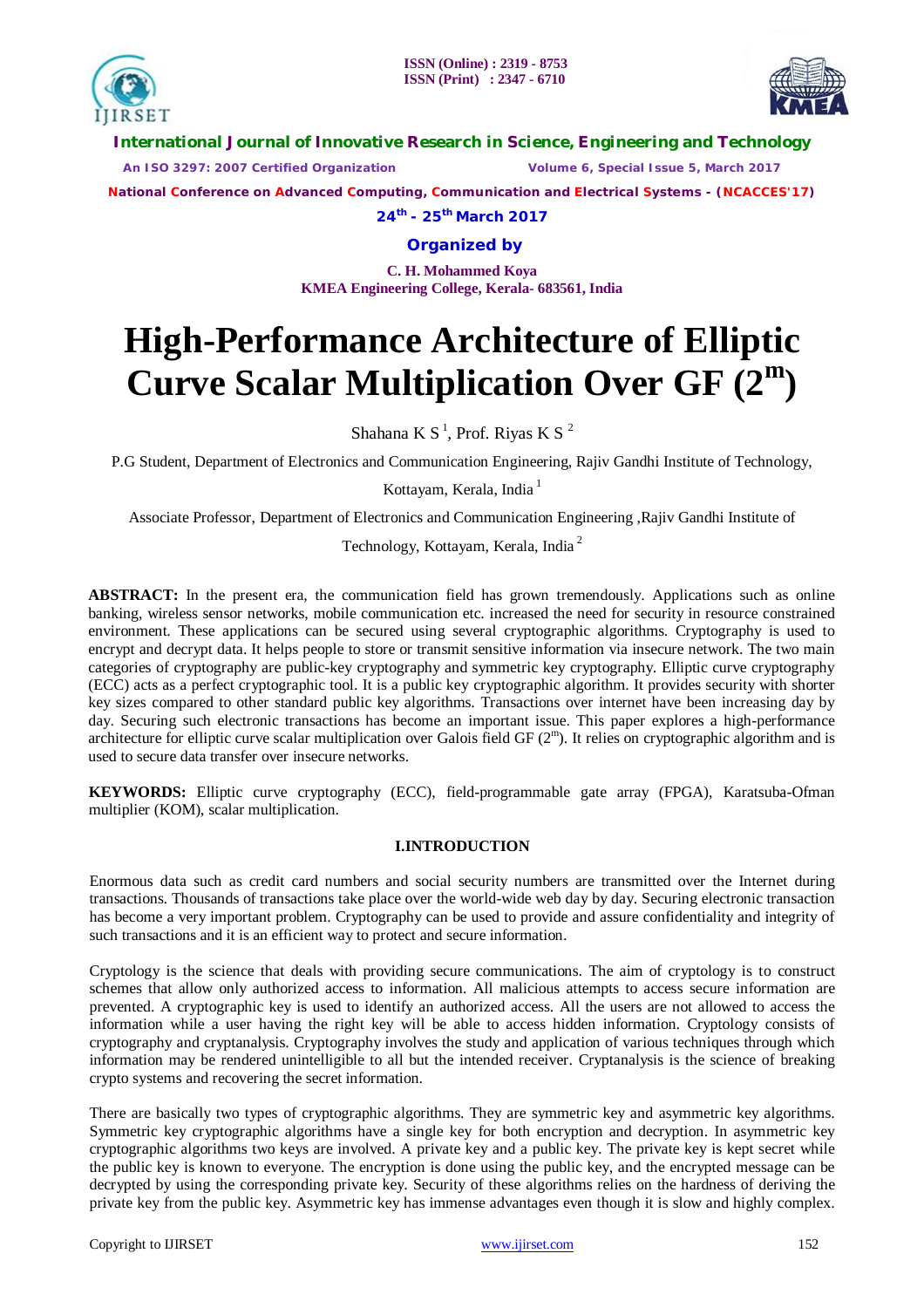



**International Journal of Innovative Research in Science, Engineering and Technology**

 *An ISO 3297: 2007 Certified Organization Volume 6, Special Issue 5, March 2017*

**National Conference on Advanced Computing, Communication and Electrical Systems - (NCACCES'17)**

**24th - 25th March 2017**

**Organized by**

**C. H. Mohammed Koya KMEA Engineering College, Kerala- 683561, India** 

# **High-Performance Architecture of Elliptic Curve Scalar Multiplication Over GF (2 m )**

Shahana K S<sup>1</sup>, Prof. Riyas K S<sup>2</sup>

P.G Student, Department of Electronics and Communication Engineering, Rajiv Gandhi Institute of Technology,

Kottayam, Kerala, India<sup>1</sup>

Associate Professor, Department of Electronics and Communication Engineering ,Rajiv Gandhi Institute of

Technology, Kottayam, Kerala, India<sup>2</sup>

**ABSTRACT:** In the present era, the communication field has grown tremendously. Applications such as online banking, wireless sensor networks, mobile communication etc. increased the need for security in resource constrained environment. These applications can be secured using several cryptographic algorithms. Cryptography is used to encrypt and decrypt data. It helps people to store or transmit sensitive information via insecure network. The two main categories of cryptography are public-key cryptography and symmetric key cryptography. Elliptic curve cryptography (ECC) acts as a perfect cryptographic tool. It is a public key cryptographic algorithm. It provides security with shorter key sizes compared to other standard public key algorithms. Transactions over internet have been increasing day by day. Securing such electronic transactions has become an important issue. This paper explores a high-performance architecture for elliptic curve scalar multiplication over Galois field GF (2<sup>m</sup>). It relies on cryptographic algorithm and is used to secure data transfer over insecure networks.

**KEYWORDS:** Elliptic curve cryptography (ECC), field-programmable gate array (FPGA), Karatsuba-Ofman multiplier (KOM), scalar multiplication.

# **I.INTRODUCTION**

Enormous data such as credit card numbers and social security numbers are transmitted over the Internet during transactions. Thousands of transactions take place over the world-wide web day by day. Securing electronic transaction has become a very important problem. Cryptography can be used to provide and assure confidentiality and integrity of such transactions and it is an efficient way to protect and secure information.

Cryptology is the science that deals with providing secure communications. The aim of cryptology is to construct schemes that allow only authorized access to information. All malicious attempts to access secure information are prevented. A cryptographic key is used to identify an authorized access. All the users are not allowed to access the information while a user having the right key will be able to access hidden information. Cryptology consists of cryptography and cryptanalysis. Cryptography involves the study and application of various techniques through which information may be rendered unintelligible to all but the intended receiver. Cryptanalysis is the science of breaking crypto systems and recovering the secret information.

There are basically two types of cryptographic algorithms. They are symmetric key and asymmetric key algorithms. Symmetric key cryptographic algorithms have a single key for both encryption and decryption. In asymmetric key cryptographic algorithms two keys are involved. A private key and a public key. The private key is kept secret while the public key is known to everyone. The encryption is done using the public key, and the encrypted message can be decrypted by using the corresponding private key. Security of these algorithms relies on the hardness of deriving the private key from the public key. Asymmetric key has immense advantages even though it is slow and highly complex.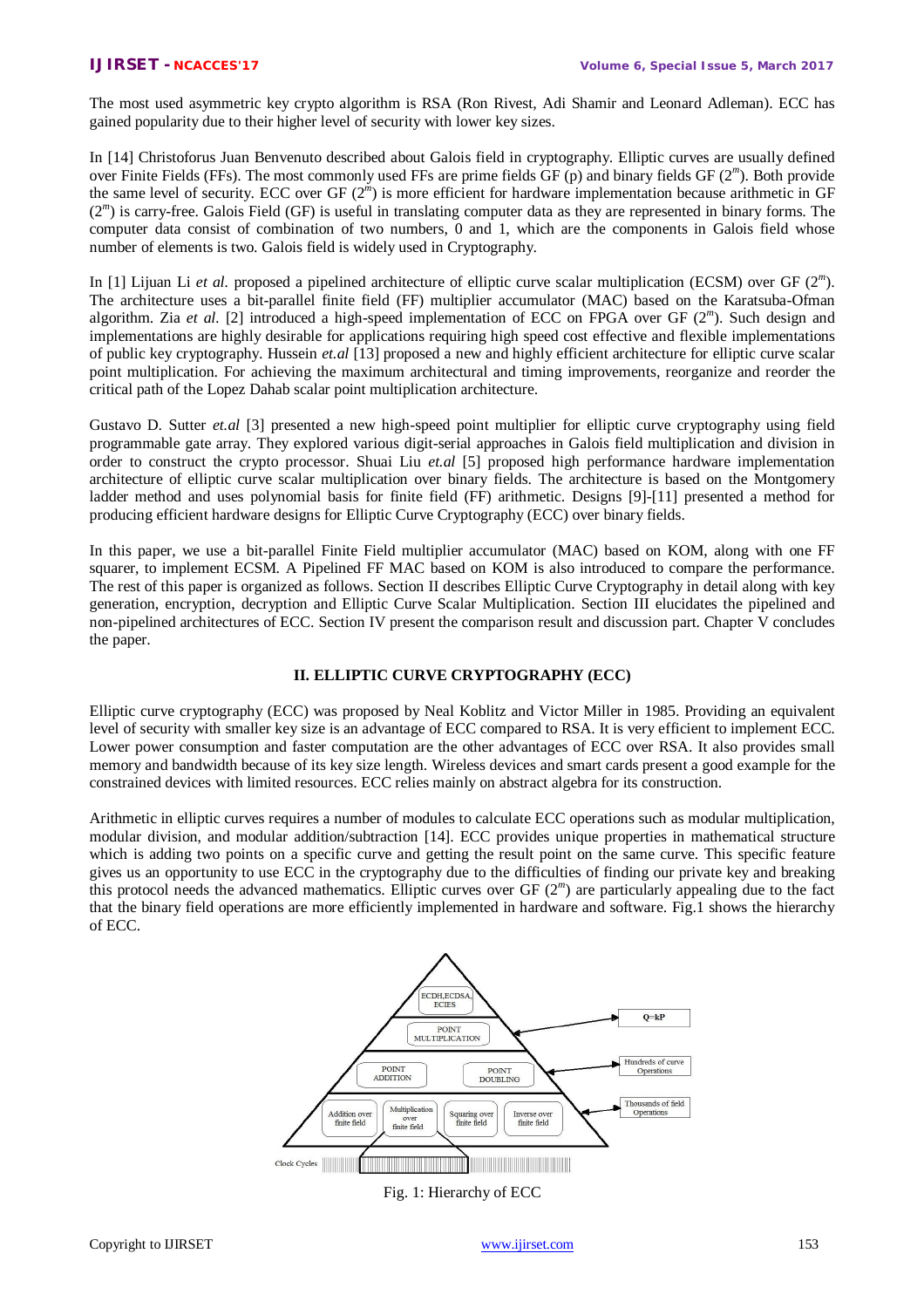The most used asymmetric key crypto algorithm is RSA (Ron Rivest, Adi Shamir and Leonard Adleman). ECC has gained popularity due to their higher level of security with lower key sizes.

In [14] Christoforus Juan Benvenuto described about Galois field in cryptography. Elliptic curves are usually defined over Finite Fields (FFs). The most commonly used FFs are prime fields GF (p) and binary fields GF (2 *m* ). Both provide the same level of security. ECC over GF (2<sup>*m*</sup>) is more efficient for hardware implementation because arithmetic in GF (2<sup>m</sup>) is carry-free. Galois Field (GF) is useful in translating computer data as they are represented in binary forms. The computer data consist of combination of two numbers, 0 and 1, which are the components in Galois field whose number of elements is two. Galois field is widely used in Cryptography.

In [1] Lijuan Li et al. proposed a pipelined architecture of elliptic curve scalar multiplication (ECSM) over GF (2<sup>m</sup>). The architecture uses a bit-parallel finite field (FF) multiplier accumulator (MAC) based on the Karatsuba-Ofman algorithm. Zia et al. [2] introduced a high-speed implementation of ECC on FPGA over GF (2<sup>m</sup>). Such design and implementations are highly desirable for applications requiring high speed cost effective and flexible implementations of public key cryptography. Hussein *et.al* [13] proposed a new and highly efficient architecture for elliptic curve scalar point multiplication. For achieving the maximum architectural and timing improvements, reorganize and reorder the critical path of the Lopez Dahab scalar point multiplication architecture.

Gustavo D. Sutter *et.al* [3] presented a new high-speed point multiplier for elliptic curve cryptography using field programmable gate array. They explored various digit-serial approaches in Galois field multiplication and division in order to construct the crypto processor. Shuai Liu *et.al* [5] proposed high performance hardware implementation architecture of elliptic curve scalar multiplication over binary fields. The architecture is based on the Montgomery ladder method and uses polynomial basis for finite field (FF) arithmetic. Designs [9]-[11] presented a method for producing efficient hardware designs for Elliptic Curve Cryptography (ECC) over binary fields.

In this paper, we use a bit-parallel Finite Field multiplier accumulator (MAC) based on KOM, along with one FF squarer, to implement ECSM. A Pipelined FF MAC based on KOM is also introduced to compare the performance. The rest of this paper is organized as follows. Section II describes Elliptic Curve Cryptography in detail along with key generation, encryption, decryption and Elliptic Curve Scalar Multiplication. Section III elucidates the pipelined and non-pipelined architectures of ECC. Section IV present the comparison result and discussion part. Chapter V concludes the paper.

## **II. ELLIPTIC CURVE CRYPTOGRAPHY (ECC)**

Elliptic curve cryptography (ECC) was proposed by Neal Koblitz and Victor Miller in 1985. Providing an equivalent level of security with smaller key size is an advantage of ECC compared to RSA. It is very efficient to implement ECC. Lower power consumption and faster computation are the other advantages of ECC over RSA. It also provides small memory and bandwidth because of its key size length. Wireless devices and smart cards present a good example for the constrained devices with limited resources. ECC relies mainly on abstract algebra for its construction.

Arithmetic in elliptic curves requires a number of modules to calculate ECC operations such as modular multiplication, modular division, and modular addition/subtraction [14]. ECC provides unique properties in mathematical structure which is adding two points on a specific curve and getting the result point on the same curve. This specific feature gives us an opportunity to use ECC in the cryptography due to the difficulties of finding our private key and breaking this protocol needs the advanced mathematics. Elliptic curves over GF (2 *m* ) are particularly appealing due to the fact that the binary field operations are more efficiently implemented in hardware and software. Fig.1 shows the hierarchy of ECC.



Fig. 1: Hierarchy of ECC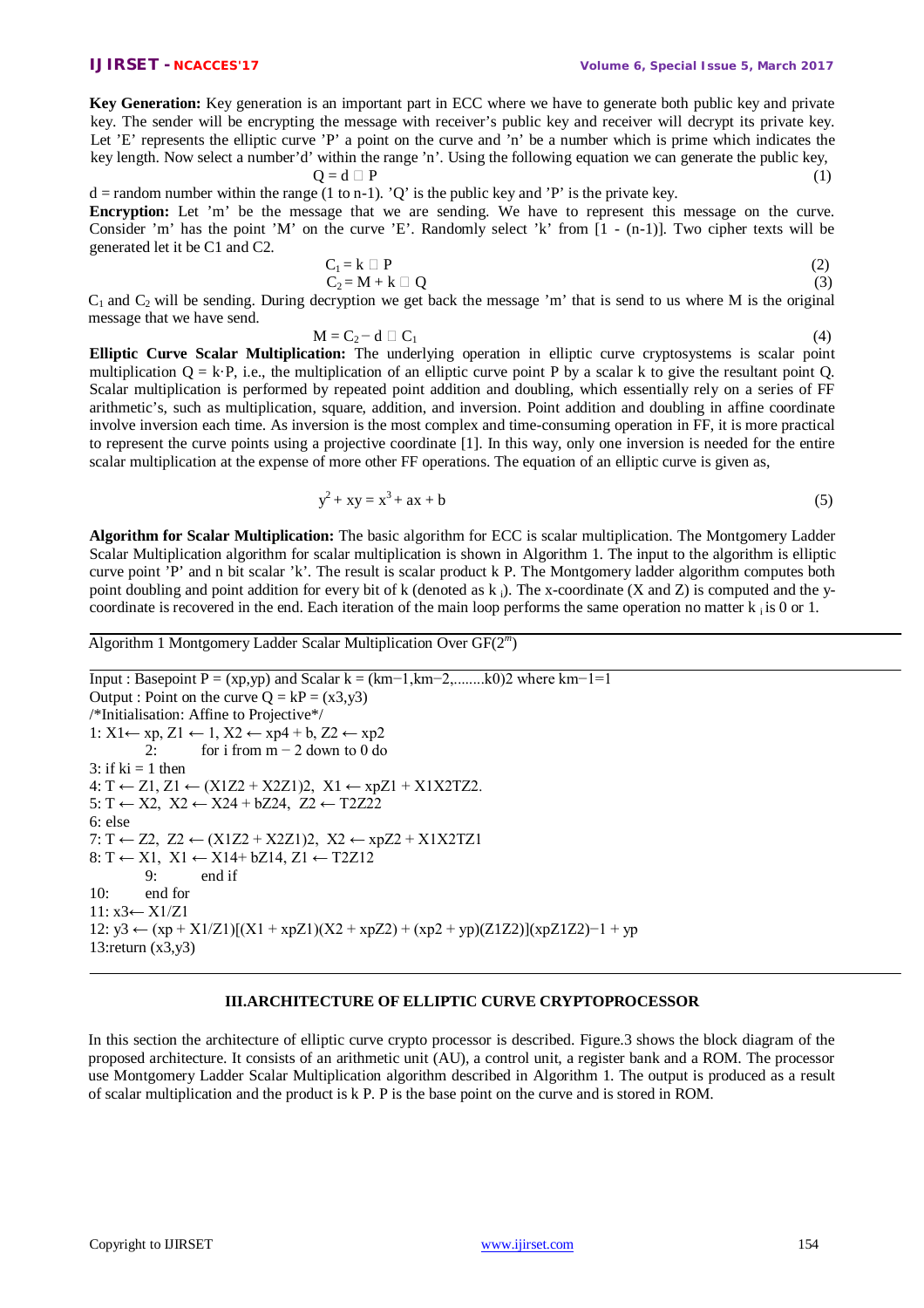**Key Generation:** Key generation is an important part in ECC where we have to generate both public key and private key. The sender will be encrypting the message with receiver's public key and receiver will decrypt its private key. Let 'E' represents the elliptic curve 'P' a point on the curve and 'n' be a number which is prime which indicates the key length. Now select a number'd' within the range 'n'. Using the following equation we can generate the public key,  $Q = d \Box P$  (1)

 $d =$  random number within the range (1 to n-1). 'Q' is the public key and 'P' is the private key. **Encryption:** Let 'm' be the message that we are sending. We have to represent this message on the curve. Consider 'm' has the point 'M' on the curve 'E'. Randomly select 'k' from [1 - (n-1)]. Two cipher texts will be generated let it be C1 and C2.

$$
C_1 = k \square P
$$
  
\n
$$
C_2 = M + k \square Q
$$
\n(2)

 $C_1$  and  $C_2$  will be sending. During decryption we get back the message 'm' that is send to us where M is the original message that we have send.

$$
M = C_2 - d \square C_1 \tag{4}
$$

**Elliptic Curve Scalar Multiplication:** The underlying operation in elliptic curve cryptosystems is scalar point multiplication  $Q = k \cdot P$ , i.e., the multiplication of an elliptic curve point P by a scalar k to give the resultant point Q. Scalar multiplication is performed by repeated point addition and doubling, which essentially rely on a series of FF arithmetic's, such as multiplication, square, addition, and inversion. Point addition and doubling in affine coordinate involve inversion each time. As inversion is the most complex and time-consuming operation in FF, it is more practical to represent the curve points using a projective coordinate [1]. In this way, only one inversion is needed for the entire scalar multiplication at the expense of more other FF operations. The equation of an elliptic curve is given as,

$$
y^2 + xy = x^3 + ax + b \tag{5}
$$

**Algorithm for Scalar Multiplication:** The basic algorithm for ECC is scalar multiplication. The Montgomery Ladder Scalar Multiplication algorithm for scalar multiplication is shown in Algorithm 1. The input to the algorithm is elliptic curve point 'P' and n bit scalar 'k'. The result is scalar product k P. The Montgomery ladder algorithm computes both point doubling and point addition for every bit of k (denoted as  $k_i$ ). The x-coordinate (X and Z) is computed and the ycoordinate is recovered in the end. Each iteration of the main loop performs the same operation no matter  $k_i$  is 0 or 1.

Algorithm 1 Montgomery Ladder Scalar Multiplication Over GF(2 *m* )

```
Input : Basepoint P = (xp,yp) and Scalar k = (km−1,km−2,........k0)2 where km−1=1
Output : Point on the curve Q = kP = (x3,y3)/*Initialisation: Affine to Projective*/
1: X1 ← xp, Z1 ← 1, X2 ← xp4 + b, Z2 ← xp2
         2: for i from m − 2 down to 0 do
3: if ki = 1 then
4: T \leftarrow Z1, Z1 \leftarrow (X1Z2 + X2Z1)2, X1 \leftarrow xpZ1 + X1X2TZ2.5: T ← X2, X2 ← X24 + bZ24, Z2 ← T2Z22
6: else
7: T \leftarrow Z2, Z2 \leftarrow (X1Z2 + X2Z1)2, X2 \leftarrow xpZ2 + X1X2TZ18: T \leftarrow X1, X1 \leftarrow X14 + bZ14, Z1 \leftarrow T2Z129: end if
10: end for 
11: x3← X1/Z1
12: y3 ← (xp + X1/Z1)[(X1 + xpZ1)(X2 + xpZ2) + (xp2 + yp)(Z1Z2)](xpZ1Z2)-1 + yp13:return (x3,y3)
```
# **III.ARCHITECTURE OF ELLIPTIC CURVE CRYPTOPROCESSOR**

In this section the architecture of elliptic curve crypto processor is described. Figure.3 shows the block diagram of the proposed architecture. It consists of an arithmetic unit (AU), a control unit, a register bank and a ROM. The processor use Montgomery Ladder Scalar Multiplication algorithm described in Algorithm 1. The output is produced as a result of scalar multiplication and the product is k P. P is the base point on the curve and is stored in ROM.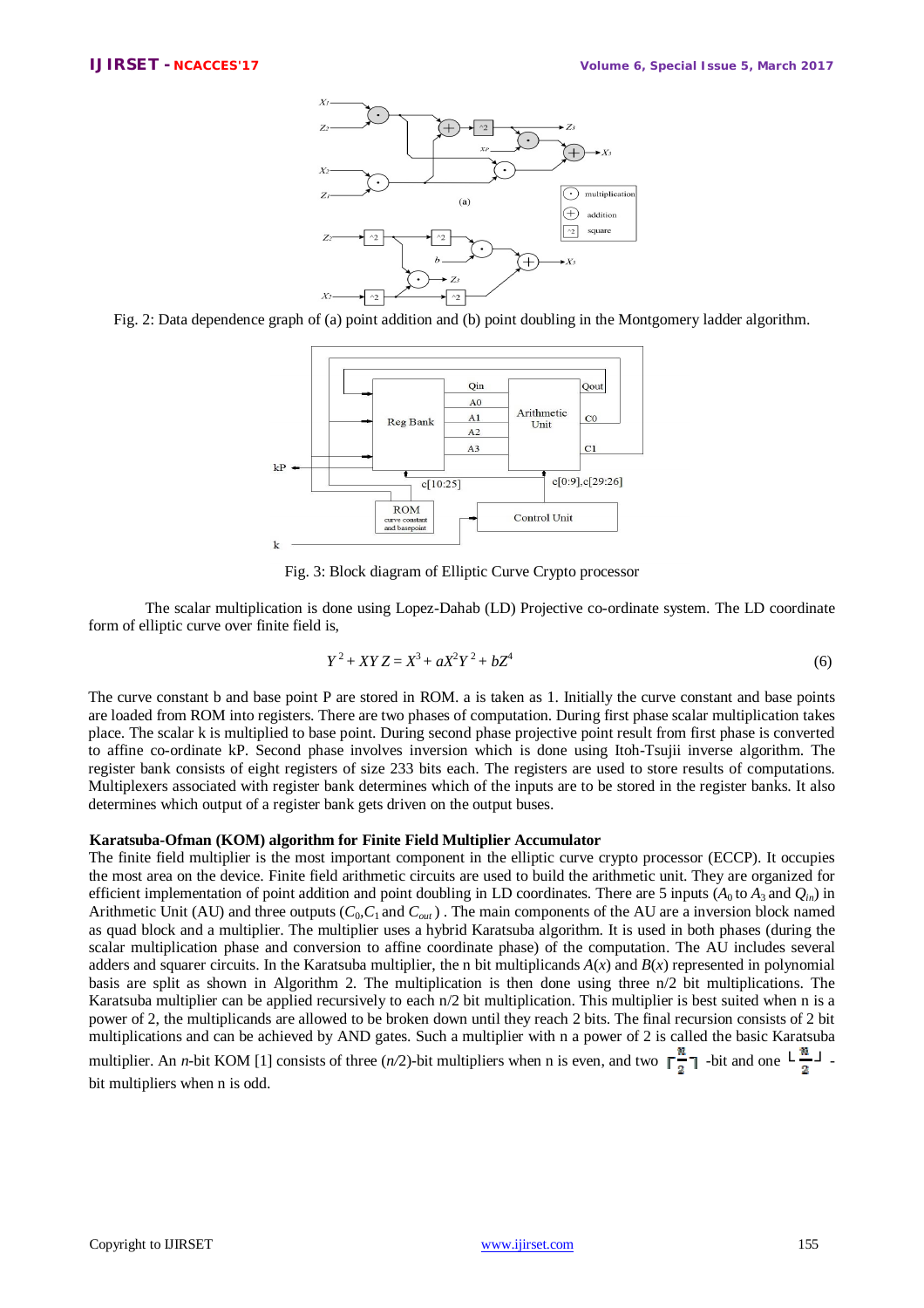

Fig. 2: Data dependence graph of (a) point addition and (b) point doubling in the Montgomery ladder algorithm.



Fig. 3: Block diagram of Elliptic Curve Crypto processor

The scalar multiplication is done using Lopez-Dahab (LD) Projective co-ordinate system. The LD coordinate form of elliptic curve over finite field is,

$$
Y^2 + XYZ = X^3 + aX^2Y^2 + bZ^4 \tag{6}
$$

The curve constant b and base point P are stored in ROM. a is taken as 1. Initially the curve constant and base points are loaded from ROM into registers. There are two phases of computation. During first phase scalar multiplication takes place. The scalar k is multiplied to base point. During second phase projective point result from first phase is converted to affine co-ordinate kP. Second phase involves inversion which is done using Itoh-Tsujii inverse algorithm. The register bank consists of eight registers of size 233 bits each. The registers are used to store results of computations. Multiplexers associated with register bank determines which of the inputs are to be stored in the register banks. It also determines which output of a register bank gets driven on the output buses.

#### **Karatsuba-Ofman (KOM) algorithm for Finite Field Multiplier Accumulator**

The finite field multiplier is the most important component in the elliptic curve crypto processor (ECCP). It occupies the most area on the device. Finite field arithmetic circuits are used to build the arithmetic unit. They are organized for efficient implementation of point addition and point doubling in LD coordinates. There are 5 inputs ( $A_0$  to  $A_3$  and  $O_i$ <sub>*in*</sub>) in Arithmetic Unit (AU) and three outputs  $(C_0, C_1$  and  $C_{out}$ ). The main components of the AU are a inversion block named as quad block and a multiplier. The multiplier uses a hybrid Karatsuba algorithm. It is used in both phases (during the scalar multiplication phase and conversion to affine coordinate phase) of the computation. The AU includes several adders and squarer circuits. In the Karatsuba multiplier, the n bit multiplicands  $A(x)$  and  $B(x)$  represented in polynomial basis are split as shown in Algorithm 2. The multiplication is then done using three n/2 bit multiplications. The Karatsuba multiplier can be applied recursively to each n/2 bit multiplication. This multiplier is best suited when n is a power of 2, the multiplicands are allowed to be broken down until they reach 2 bits. The final recursion consists of 2 bit multiplications and can be achieved by AND gates. Such a multiplier with n a power of 2 is called the basic Karatsuba

multiplier. An *n*-bit KOM [1] consists of three (*n*/2)-bit multipliers when n is even, and two  $\lceil \frac{n}{2} \rceil$  -bit and one  $\lfloor \frac{n}{2} \rfloor$ . bit multipliers when n is odd.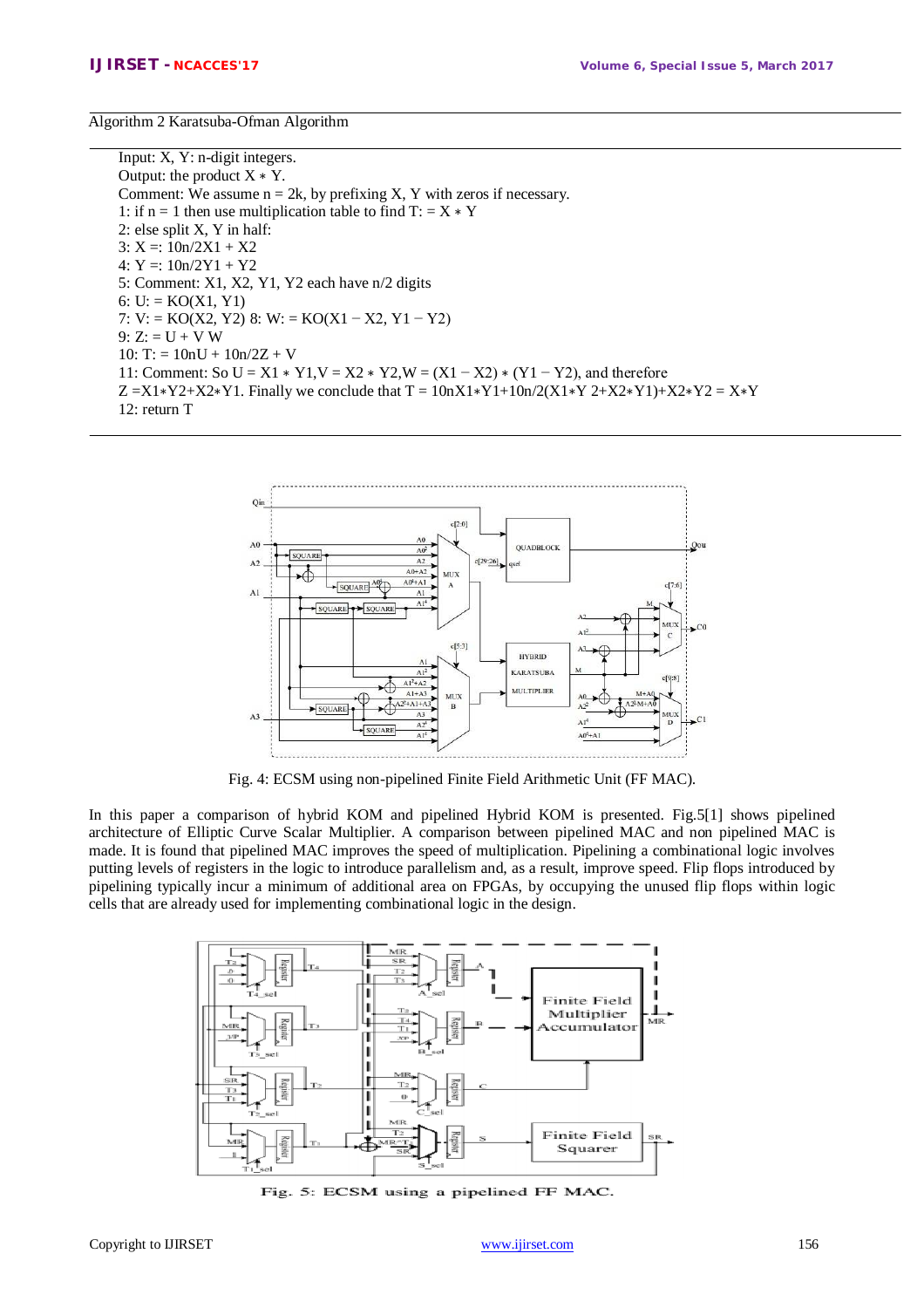Algorithm 2 Karatsuba-Ofman Algorithm

Input: X, Y: n-digit integers. Output: the product  $X * Y$ . Comment: We assume  $n = 2k$ , by prefixing X, Y with zeros if necessary. 1: if n = 1 then use multiplication table to find  $T: = X * Y$ 2: else split X, Y in half: 3:  $X =: 10n/2X1 + X2$ 4:  $Y =: 10n/2Y1 + Y2$ 5: Comment: X1, X2, Y1, Y2 each have n/2 digits 6:  $U = KO(X1, Y1)$ 7: V: = KO(X2, Y2) 8: W: = KO(X1 – X2, Y1 – Y2)  $9: Z: = U + V W$  $10: T: = 10nU + 10n/2Z + V$ 11: Comment: So U = X1 ∗ Y1,V = X2 ∗ Y2,W = (X1 − X2) ∗ (Y1 − Y2), and therefore  $Z = X1*Y2+X2*Y1$ . Finally we conclude that  $T = 10nX1*Y1+10n/2(X1*Y2+X2*Y1)+X2*Y2 = X*Y$ 12: return T



Fig. 4: ECSM using non-pipelined Finite Field Arithmetic Unit (FF MAC).

In this paper a comparison of hybrid KOM and pipelined Hybrid KOM is presented. Fig.5[1] shows pipelined architecture of Elliptic Curve Scalar Multiplier. A comparison between pipelined MAC and non pipelined MAC is made. It is found that pipelined MAC improves the speed of multiplication. Pipelining a combinational logic involves putting levels of registers in the logic to introduce parallelism and, as a result, improve speed. Flip flops introduced by pipelining typically incur a minimum of additional area on FPGAs, by occupying the unused flip flops within logic cells that are already used for implementing combinational logic in the design.



Fig. 5: ECSM using a pipelined FF MAC.